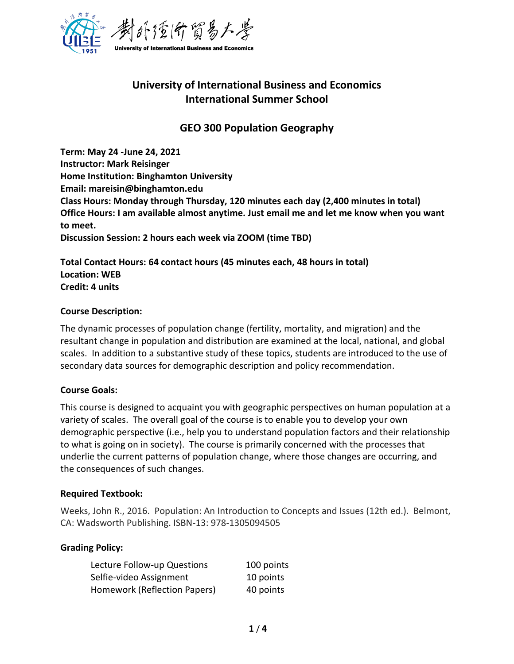

# **University of International Business and Economics International Summer School**

## **GEO 300 Population Geography**

**Term: May 24 -June 24, 2021 Instructor: Mark Reisinger Home Institution: Binghamton University Email: mareisin@binghamton.edu Class Hours: Monday through Thursday, 120 minutes each day (2,400 minutes in total) Office Hours: I am available almost anytime. Just email me and let me know when you want to meet. Discussion Session: 2 hours each week via ZOOM (time TBD)**

**Total Contact Hours: 64 contact hours (45 minutes each, 48 hours in total) Location: WEB Credit: 4 units**

#### **Course Description:**

The dynamic processes of population change (fertility, mortality, and migration) and the resultant change in population and distribution are examined at the local, national, and global scales. In addition to a substantive study of these topics, students are introduced to the use of secondary data sources for demographic description and policy recommendation.

#### **Course Goals:**

This course is designed to acquaint you with geographic perspectives on human population at a variety of scales. The overall goal of the course is to enable you to develop your own demographic perspective (i.e., help you to understand population factors and their relationship to what is going on in society). The course is primarily concerned with the processes that underlie the current patterns of population change, where those changes are occurring, and the consequences of such changes.

#### **Required Textbook:**

Weeks, John R., 2016. Population: An Introduction to Concepts and Issues (12th ed.). Belmont, CA: Wadsworth Publishing. ISBN-13: 978-1305094505

#### **Grading Policy:**

| Lecture Follow-up Questions  | 100 points |
|------------------------------|------------|
| Selfie-video Assignment      | 10 points  |
| Homework (Reflection Papers) | 40 points  |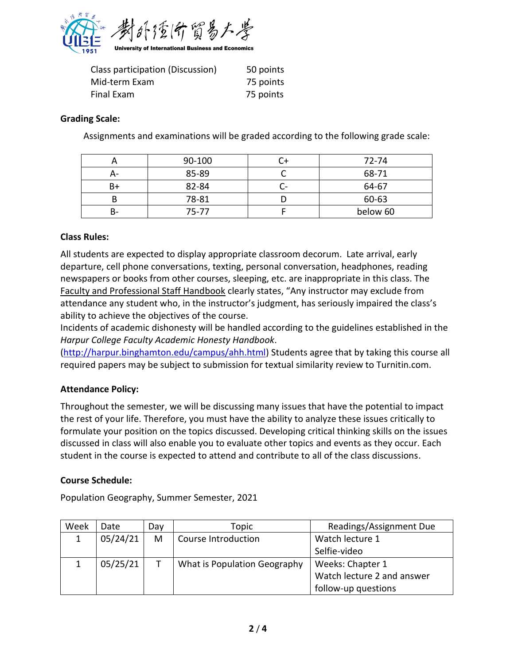

| Class participation (Discussion) | 50 points |
|----------------------------------|-----------|
| Mid-term Exam                    | 75 points |
| Final Exam                       | 75 points |

#### **Grading Scale:**

Assignments and examinations will be graded according to the following grade scale:

|    | 90-100 | 72-74    |
|----|--------|----------|
| А- | 85-89  | 68-71    |
| B+ | 82-84  | 64-67    |
|    | 78-81  | 60-63    |
| В- | 75-77  | below 60 |

### **Class Rules:**

All students are expected to display appropriate classroom decorum. Late arrival, early departure, cell phone conversations, texting, personal conversation, headphones, reading newspapers or books from other courses, sleeping, etc. are inappropriate in this class. The Faculty and Professional Staff Handbook clearly states, "Any instructor may exclude from attendance any student who, in the instructor's judgment, has seriously impaired the class's ability to achieve the objectives of the course.

Incidents of academic dishonesty will be handled according to the guidelines established in the *Harpur College Faculty Academic Honesty Handbook*.

[\(http://harpur.binghamton.edu/campus/ahh.html\)](http://harpur.binghamton.edu/campus/ahh.html) Students agree that by taking this course all required papers may be subject to submission for textual similarity review to Turnitin.com.

#### **Attendance Policy:**

Throughout the semester, we will be discussing many issues that have the potential to impact the rest of your life. Therefore, you must have the ability to analyze these issues critically to formulate your position on the topics discussed. Developing critical thinking skills on the issues discussed in class will also enable you to evaluate other topics and events as they occur. Each student in the course is expected to attend and contribute to all of the class discussions.

#### **Course Schedule:**

Population Geography, Summer Semester, 2021

| Week | Date     | Day | Topic                        | Readings/Assignment Due    |
|------|----------|-----|------------------------------|----------------------------|
|      | 05/24/21 | M   | Course Introduction          | Watch lecture 1            |
|      |          |     |                              | Selfie-video               |
|      | 05/25/21 |     | What is Population Geography | Weeks: Chapter 1           |
|      |          |     |                              | Watch lecture 2 and answer |
|      |          |     |                              | follow-up questions        |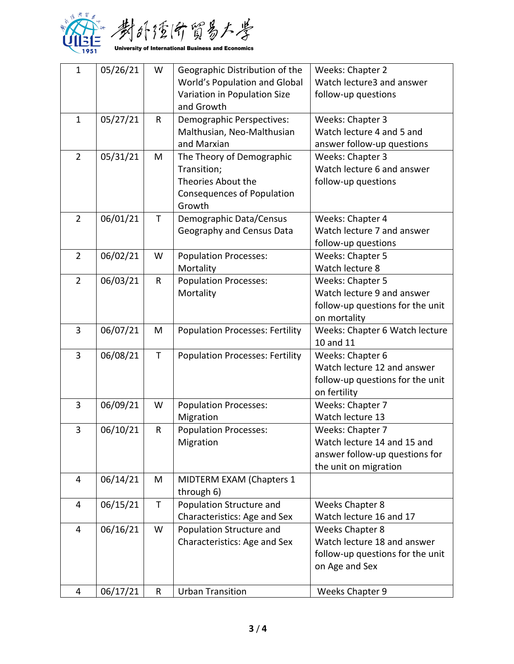

| $\mathbf{1}$   | 05/26/21 | W           | Geographic Distribution of the         | Weeks: Chapter 2                 |
|----------------|----------|-------------|----------------------------------------|----------------------------------|
|                |          |             | World's Population and Global          | Watch lecture3 and answer        |
|                |          |             | Variation in Population Size           | follow-up questions              |
|                |          |             | and Growth                             |                                  |
| $\mathbf{1}$   | 05/27/21 | R           | Demographic Perspectives:              | Weeks: Chapter 3                 |
|                |          |             | Malthusian, Neo-Malthusian             | Watch lecture 4 and 5 and        |
|                |          |             | and Marxian                            | answer follow-up questions       |
| $\overline{2}$ | 05/31/21 | M           | The Theory of Demographic              | Weeks: Chapter 3                 |
|                |          |             | Transition;                            | Watch lecture 6 and answer       |
|                |          |             | Theories About the                     | follow-up questions              |
|                |          |             | Consequences of Population             |                                  |
|                |          |             | Growth                                 |                                  |
| $\overline{2}$ | 06/01/21 | $\mathsf T$ | Demographic Data/Census                | Weeks: Chapter 4                 |
|                |          |             | Geography and Census Data              | Watch lecture 7 and answer       |
|                |          |             |                                        | follow-up questions              |
| $\overline{2}$ | 06/02/21 | W           | <b>Population Processes:</b>           | Weeks: Chapter 5                 |
|                |          |             | Mortality                              | Watch lecture 8                  |
| $\overline{2}$ | 06/03/21 | $\mathsf R$ | <b>Population Processes:</b>           | Weeks: Chapter 5                 |
|                |          |             | Mortality                              | Watch lecture 9 and answer       |
|                |          |             |                                        | follow-up questions for the unit |
|                |          |             |                                        | on mortality                     |
| 3              | 06/07/21 | M           | <b>Population Processes: Fertility</b> | Weeks: Chapter 6 Watch lecture   |
|                |          |             |                                        | 10 and 11                        |
| 3              | 06/08/21 | T           | <b>Population Processes: Fertility</b> | Weeks: Chapter 6                 |
|                |          |             |                                        | Watch lecture 12 and answer      |
|                |          |             |                                        | follow-up questions for the unit |
| 3              | 06/09/21 | W           | <b>Population Processes:</b>           | on fertility<br>Weeks: Chapter 7 |
|                |          |             | Migration                              | Watch lecture 13                 |
| 3              | 06/10/21 | ${\sf R}$   | <b>Population Processes:</b>           | Weeks: Chapter 7                 |
|                |          |             | Migration                              | Watch lecture 14 and 15 and      |
|                |          |             |                                        | answer follow-up questions for   |
|                |          |             |                                        | the unit on migration            |
| 4              | 06/14/21 | M           | MIDTERM EXAM (Chapters 1               |                                  |
|                |          |             | through 6)                             |                                  |
| 4              | 06/15/21 | T           | Population Structure and               | <b>Weeks Chapter 8</b>           |
|                |          |             | Characteristics: Age and Sex           | Watch lecture 16 and 17          |
| $\overline{4}$ | 06/16/21 | W           | Population Structure and               | <b>Weeks Chapter 8</b>           |
|                |          |             | Characteristics: Age and Sex           | Watch lecture 18 and answer      |
|                |          |             |                                        | follow-up questions for the unit |
|                |          |             |                                        | on Age and Sex                   |
|                |          |             |                                        |                                  |
| 4              | 06/17/21 | R           | <b>Urban Transition</b>                | Weeks Chapter 9                  |